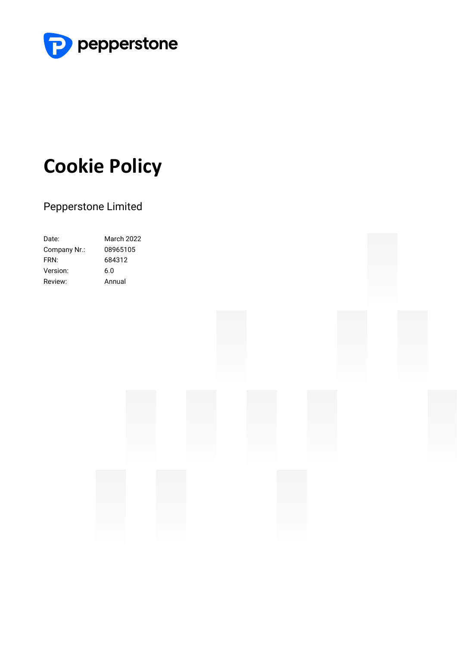

# **Cookie Policy**

### Pepperstone Limited

| Date:        | <b>March 2022</b> |
|--------------|-------------------|
| Company Nr.: | 08965105          |
| FRN:         | 684312            |
| Version:     | 6.0               |
| Review:      | Annual            |

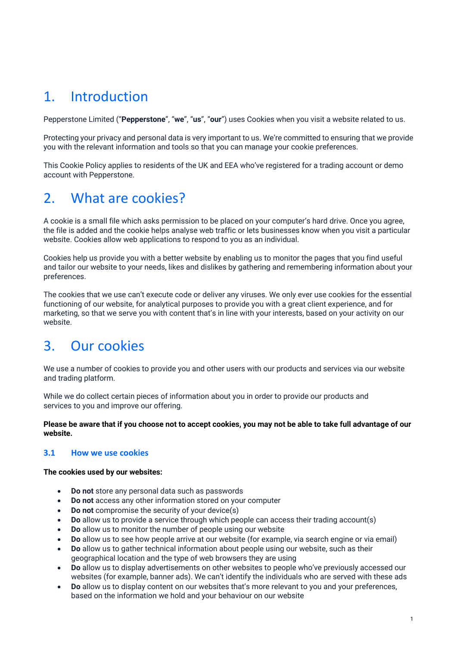# 1. Introduction

Pepperstone Limited ("**Pepperstone**", "**we**", "**us**", "**our**") uses Cookies when you visit a website related to us.

Protecting your privacy and personal data is very important to us. We're committed to ensuring that we provide you with the relevant information and tools so that you can manage your cookie preferences.

This Cookie Policy applies to residents of the UK and EEA who've registered for a trading account or demo account with Pepperstone.

# 2. What are cookies?

A cookie is a small file which asks permission to be placed on your computer's hard drive. Once you agree, the file is added and the cookie helps analyse web traffic or lets businesses know when you visit a particular website. Cookies allow web applications to respond to you as an individual.

Cookies help us provide you with a better website by enabling us to monitor the pages that you find useful and tailor our website to your needs, likes and dislikes by gathering and remembering information about your preferences.

The cookies that we use can't execute code or deliver any viruses. We only ever use cookies for the essential functioning of our website, for analytical purposes to provide you with a great client experience, and for marketing, so that we serve you with content that's in line with your interests, based on your activity on our website.

# 3. Our cookies

We use a number of cookies to provide you and other users with our products and services via our website and trading platform.

While we do collect certain pieces of information about you in order to provide our products and services to you and improve our offering.

**Please be aware that if you choose not to accept cookies, you may not be able to take full advantage of our website.**

### **3.1 How we use cookies**

**The cookies used by our websites:**

- **Do not** store any personal data such as passwords
- **Do not** access any other information stored on your computer
- **Do not** compromise the security of your device(s)
- **Do** allow us to provide a service through which people can access their trading account(s)
- **Do** allow us to monitor the number of people using our website
- **Do** allow us to see how people arrive at our website (for example, via search engine or via email)
- **Do** allow us to gather technical information about people using our website, such as their geographical location and the type of web browsers they are using
- **Do** allow us to display advertisements on other websites to people who've previously accessed our websites (for example, banner ads). We can't identify the individuals who are served with these ads
- **Do** allow us to display content on our websites that's more relevant to you and your preferences, based on the information we hold and your behaviour on our website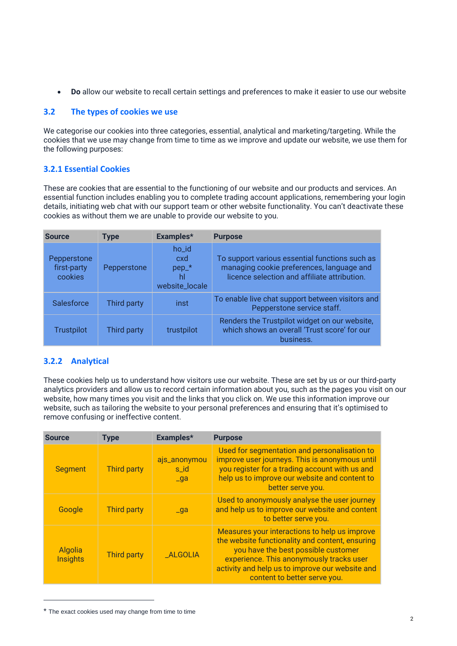• **Do** allow our website to recall certain settings and preferences to make it easier to use our website

### **3.2 The types of cookies we use**

We categorise our cookies into three categories, essential, analytical and marketing/targeting. While the cookies that we use may change from time to time as we improve and update our website, we use them for the following purposes:

### **3.2.1 Essential Cookies**

These are cookies that are essential to the functioning of our website and our products and services. An essential function includes enabling you to complete trading account applications, remembering your login details, initiating web chat with our support team or other website functionality. You can't deactivate these cookies as without them we are unable to provide our website to you.

| <b>Source</b>                         | <b>Type</b> | Examples*                                       | <b>Purpose</b>                                                                                                                              |
|---------------------------------------|-------------|-------------------------------------------------|---------------------------------------------------------------------------------------------------------------------------------------------|
| Pepperstone<br>first-party<br>cookies | Pepperstone | ho_id<br>cxd<br>$pep_*$<br>hl<br>website_locale | To support various essential functions such as<br>managing cookie preferences, language and<br>licence selection and affiliate attribution. |
| <b>Salesforce</b>                     | Third party | inst                                            | To enable live chat support between visitors and<br>Pepperstone service staff.                                                              |
| <b>Trustpilot</b>                     | Third party | trustpilot                                      | Renders the Trustpilot widget on our website,<br>which shows an overall 'Trust score' for our<br>business.                                  |

### **3.2.2 Analytical**

These cookies help us to understand how visitors use our website. These are set by us or our third-party analytics providers and allow us to record certain information about you, such as the pages you visit on our website, how many times you visit and the links that you click on. We use this information improve our website, such as tailoring the website to your personal preferences and ensuring that it's optimised to remove confusing or ineffective content.

| <b>Source</b>              | <b>Type</b>        | Examples*                         | <b>Purpose</b>                                                                                                                                                                                                                                                         |
|----------------------------|--------------------|-----------------------------------|------------------------------------------------------------------------------------------------------------------------------------------------------------------------------------------------------------------------------------------------------------------------|
| <b>Segment</b>             | <b>Third party</b> | ajs_anonymou<br>s_id<br>$\Box$ ga | Used for segmentation and personalisation to<br>improve user journeys. This is anonymous until<br>you register for a trading account with us and<br>help us to improve our website and content to<br>better serve you.                                                 |
| Google                     | <b>Third party</b> | $\Box$ ga                         | Used to anonymously analyse the user journey<br>and help us to improve our website and content<br>to better serve you.                                                                                                                                                 |
| Algolia<br><b>Insights</b> | <b>Third party</b> | <b>_ALGOLIA</b>                   | Measures your interactions to help us improve<br>the website functionality and content, ensuring<br>you have the best possible customer<br>experience. This anonymously tracks user<br>activity and help us to improve our website and<br>content to better serve you. |

<sup>\*</sup> The exact cookies used may change from time to time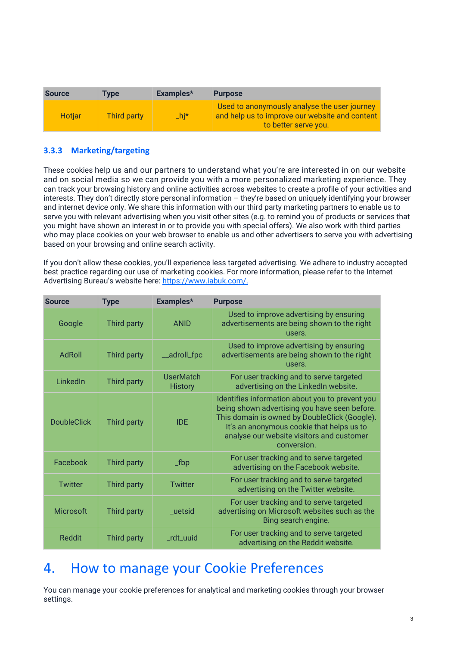| <b>Source</b> | <b>Type</b> | Examples*    | <b>Purpose</b>                                                                                                         |
|---------------|-------------|--------------|------------------------------------------------------------------------------------------------------------------------|
| <b>Hotiar</b> | Third party | $\Delta$ hj* | Used to anonymously analyse the user journey<br>and help us to improve our website and content<br>to better serve you. |

### **3.3.3 Marketing/targeting**

These cookies help us and our partners to understand what you're are interested in on our website and on social media so we can provide you with a more personalized marketing experience. They can track your browsing history and online activities across websites to create a profile of your activities and interests. They don't directly store personal information – they're based on uniquely identifying your browser and internet device only. We share this information with our third party marketing partners to enable us to serve you with relevant advertising when you visit other sites (e.g. to remind you of products or services that you might have shown an interest in or to provide you with special offers). We also work with third parties who may place cookies on your web browser to enable us and other advertisers to serve you with advertising based on your browsing and online search activity.

If you don't allow these cookies, you'll experience less targeted advertising. We adhere to industry accepted best practice regarding our use of marketing cookies. For more information, please refer to the Internet Advertising Bureau's website here: [https://www.iabuk.com/.](https://www.iabuk.com/)

| <b>Source</b>      | <b>Type</b> | Examples*                   | <b>Purpose</b>                                                                                                                                                                                                                                             |
|--------------------|-------------|-----------------------------|------------------------------------------------------------------------------------------------------------------------------------------------------------------------------------------------------------------------------------------------------------|
| Google             | Third party | <b>ANID</b>                 | Used to improve advertising by ensuring<br>advertisements are being shown to the right<br>users.                                                                                                                                                           |
| AdRoll             | Third party | _adroll_fpc                 | Used to improve advertising by ensuring<br>advertisements are being shown to the right<br>users.                                                                                                                                                           |
| LinkedIn           | Third party | UserMatch<br><b>History</b> | For user tracking and to serve targeted<br>advertising on the LinkedIn website.                                                                                                                                                                            |
| <b>DoubleClick</b> | Third party | <b>IDE</b>                  | Identifies information about you to prevent you<br>being shown advertising you have seen before.<br>This domain is owned by DoubleClick (Google).<br>It's an anonymous cookie that helps us to<br>analyse our website visitors and customer<br>conversion. |
| Facebook           | Third party | $\_fbp$                     | For user tracking and to serve targeted<br>advertising on the Facebook website.                                                                                                                                                                            |
| Twitter            | Third party | <b>Twitter</b>              | For user tracking and to serve targeted<br>advertising on the Twitter website.                                                                                                                                                                             |
| <b>Microsoft</b>   | Third party | uetsid                      | For user tracking and to serve targeted<br>advertising on Microsoft websites such as the<br>Bing search engine.                                                                                                                                            |
| <b>Reddit</b>      | Third party | _rdt_uuid                   | For user tracking and to serve targeted<br>advertising on the Reddit website.                                                                                                                                                                              |

## 4. How to manage your Cookie Preferences

You can manage your cookie preferences for analytical and marketing cookies through your browser settings.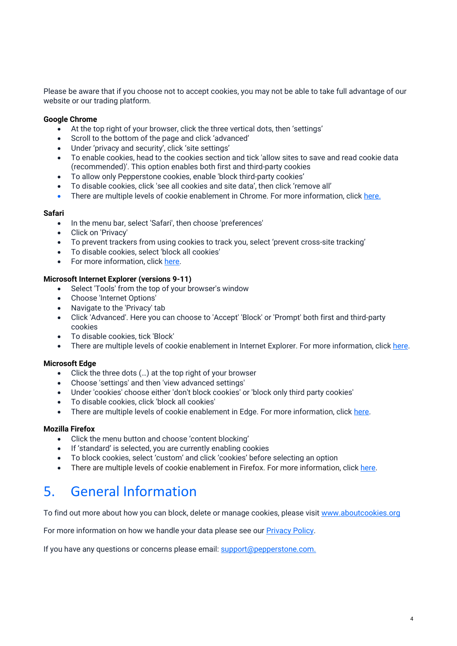Please be aware that if you choose not to accept cookies, you may not be able to take full advantage of our website or our trading platform.

#### **Google Chrome**

- At the top right of your browser, click the three vertical dots, then 'settings'
- Scroll to the bottom of the page and click 'advanced'
- Under 'privacy and security', click 'site settings'
- To enable cookies, head to the cookies section and tick 'allow sites to save and read cookie data (recommended)'. This option enables both first and third-party cookies
- To allow only Pepperstone cookies, enable 'block third-party cookies'
- To disable cookies, click 'see all cookies and site data', then click 'remove all'
- There are multiple levels of cookie enablement in Chrome. For more information, click [here.](https://support.google.com/chrome/answer/95647?hl=en)

#### **Safari**

- In the menu bar, select 'Safari', then choose 'preferences'
- Click on 'Privacy'
- To prevent trackers from using cookies to track you, select 'prevent cross-site tracking'
- To disable cookies, select 'block all cookies'
- For more information, click [here.](https://support.apple.com/en-gb/guide/safari/sfri11471/mac)

#### **Microsoft Internet Explorer (versions 9-11)**

- Select 'Tools' from the top of your browser's window
- Choose 'Internet Options'
- Navigate to the 'Privacy' tab
- Click 'Advanced'. Here you can choose to 'Accept' 'Block' or 'Prompt' both first and third-party cookies
- To disable cookies, tick 'Block'
- There are multiple levels of cookie enablement in Internet Explorer. For more information, click [here.](https://support.microsoft.com/en-us/topic/delete-and-manage-cookies-168dab11-0753-043d-7c16-ede5947fc64d)

#### **Microsoft Edge**

- Click the three dots (…) at the top right of your browser
- Choose 'settings' and then 'view advanced settings'
- Under 'cookies' choose either 'don't block cookies' or 'block only third party cookies'
- To disable cookies, click 'block all cookies'
- There are multiple levels of cookie enablement in Edge. For more information, click [here.](https://support.microsoft.com/en-us/microsoft-edge/delete-cookies-in-microsoft-edge-63947406-40ac-c3b8-57b9-2a946a29ae09)

#### **Mozilla Firefox**

- Click the menu button and choose 'content blocking'
- If 'standard' is selected, you are currently enabling cookies
- To block cookies, select 'custom' and click 'cookies' before selecting an option
- There are multiple levels of cookie enablement in Firefox. For more information, click [here.](https://support.mozilla.org/en-US/kb/enhanced-tracking-protection-firefox-desktop?redirectslug=Enabling+and+disabling+cookies&redirectlocale=en-US)

# 5. General Information

To find out more about how you can block, delete or manage cookies, please visit [www.aboutcookies.org](http://www.aboutcookies.org/)

For more information on how we handle your data please see our **Privacy Policy**.

If you have any questions or concerns please email: [support@pepperstone.com.](mailto:support@pepperstone.com)